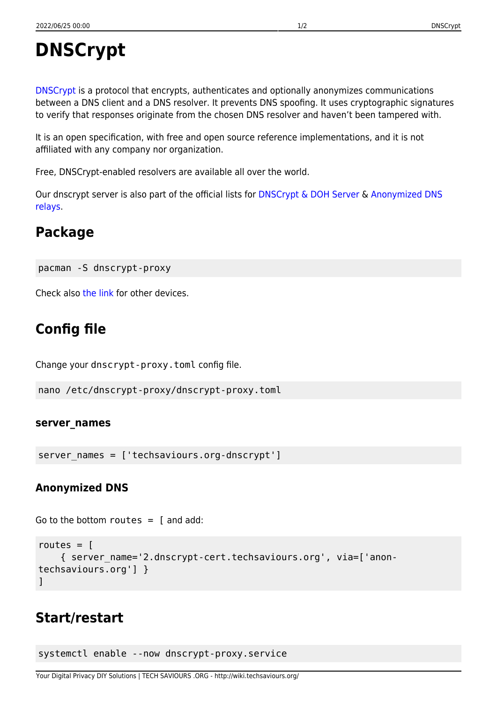# **DNSCrypt**

[DNSCrypt](https://dnscrypt.info/) is a protocol that encrypts, authenticates and optionally anonymizes communications between a DNS client and a DNS resolver. It prevents DNS spoofing. It uses cryptographic signatures to verify that responses originate from the chosen DNS resolver and haven't been tampered with.

It is an open specification, with free and open source reference implementations, and it is not affiliated with any company nor organization.

Free, DNSCrypt-enabled resolvers are available all over the world.

Our dnscrypt server is also part of the official lists for [DNSCrypt & DOH Server](https://dnscrypt.info/public-servers/) & [Anonymized DNS](https://download.dnscrypt.info/dnscrypt-resolvers/v3/relays.md) [relays.](https://download.dnscrypt.info/dnscrypt-resolvers/v3/relays.md)

## **Package**

pacman -S dnscrypt-proxy

Check also [the link](https://github.com/DNSCrypt/dnscrypt-proxy/wiki/Installation-linux) for other devices.

## **Config file**

Change your dnscrypt-proxy.toml config file.

```
nano /etc/dnscrypt-proxy/dnscrypt-proxy.toml
```
#### **server\_names**

server names = ['techsaviours.org-dnscrypt']

#### **Anonymized DNS**

Go to the bottom routes  $=$  [ and add:

```
routes = \Gamma { server_name='2.dnscrypt-cert.techsaviours.org', via=['anon-
techsaviours.org'] }
]
```
### **Start/restart**

systemctl enable --now dnscrypt-proxy.service